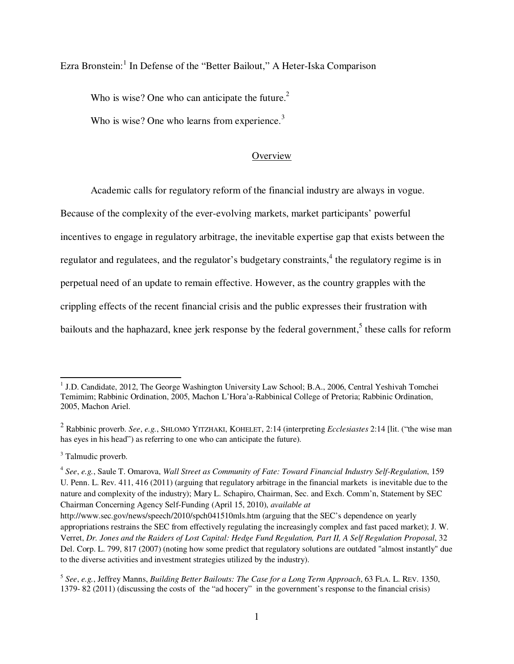Ezra Bronstein:<sup>1</sup> In Defense of the "Better Bailout," A Heter-Iska Comparison

Who is wise? One who can anticipate the future.<sup>2</sup>

Who is wise? One who learns from experience. $3$ 

# **Overview**

Academic calls for regulatory reform of the financial industry are always in vogue.

Because of the complexity of the ever-evolving markets, market participants' powerful incentives to engage in regulatory arbitrage, the inevitable expertise gap that exists between the regulator and regulatees, and the regulator's budgetary constraints,<sup>4</sup> the regulatory regime is in perpetual need of an update to remain effective. However, as the country grapples with the crippling effects of the recent financial crisis and the public expresses their frustration with

bailouts and the haphazard, knee jerk response by the federal government,<sup>5</sup> these calls for reform

<sup>&</sup>lt;sup>1</sup> J.D. Candidate, 2012, The George Washington University Law School; B.A., 2006, Central Yeshivah Tomchei Temimim; Rabbinic Ordination, 2005, Machon L'Hora'a-Rabbinical College of Pretoria; Rabbinic Ordination, 2005, Machon Ariel.

<sup>2</sup> Rabbinic proverb. *See*, *e.g.*, SHLOMO YITZHAKI, KOHELET, 2:14 (interpreting *Ecclesiastes* 2:14 [lit. ("the wise man has eyes in his head") as referring to one who can anticipate the future).

<sup>&</sup>lt;sup>3</sup> Talmudic proverb.

<sup>4</sup> *See*, *e.g.*, Saule T. Omarova, *Wall Street as Community of Fate: Toward Financial Industry Self-Regulation*, 159 U. Penn. L. Rev. 411, 416 (2011) (arguing that regulatory arbitrage in the financial markets is inevitable due to the nature and complexity of the industry); Mary L. Schapiro, Chairman, Sec. and Exch. Comm'n, Statement by SEC Chairman Concerning Agency Self-Funding (April 15, 2010), *available at* 

http://www.sec.gov/news/speech/2010/spch041510mls.htm (arguing that the SEC's dependence on yearly appropriations restrains the SEC from effectively regulating the increasingly complex and fast paced market); J. W. Verret, *Dr. Jones and the Raiders of Lost Capital: Hedge Fund Regulation, Part II, A Self Regulation Proposal*, 32 Del. Corp. L. 799, 817 (2007) (noting how some predict that regulatory solutions are outdated "almost instantly" due to the diverse activities and investment strategies utilized by the industry).

<sup>5</sup> *See*, *e.g.*, Jeffrey Manns, *Building Better Bailouts: The Case for a Long Term Approach*, 63 FLA. L. REV. 1350, 1379- 82 (2011) (discussing the costs of the "ad hocery" in the government's response to the financial crisis)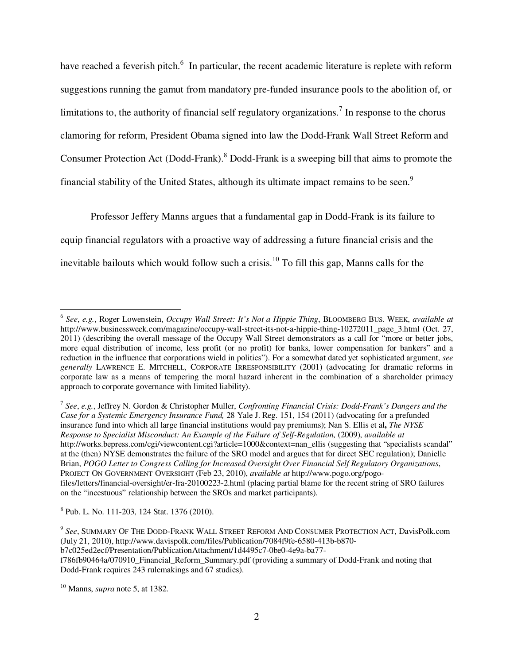have reached a feverish pitch.<sup>6</sup> In particular, the recent academic literature is replete with reform suggestions running the gamut from mandatory pre-funded insurance pools to the abolition of, or limitations to, the authority of financial self regulatory organizations.<sup>7</sup> In response to the chorus clamoring for reform, President Obama signed into law the Dodd-Frank Wall Street Reform and Consumer Protection Act (Dodd-Frank). <sup>8</sup> Dodd-Frank is a sweeping bill that aims to promote the financial stability of the United States, although its ultimate impact remains to be seen.<sup>9</sup>

Professor Jeffery Manns argues that a fundamental gap in Dodd-Frank is its failure to equip financial regulators with a proactive way of addressing a future financial crisis and the inevitable bailouts which would follow such a crisis.<sup>10</sup> To fill this gap, Manns calls for the

7 *See*, *e.g.*, Jeffrey N. Gordon & Christopher Muller, *Confronting Financial Crisis: Dodd-Frank's Dangers and the Case for a Systemic Emergency Insurance Fund,* 28 Yale J. Reg. 151, 154 (2011) (advocating for a prefunded insurance fund into which all large financial institutions would pay premiums); Nan S. Ellis et al**,** *The NYSE Response to Specialist Misconduct: An Example of the Failure of Self-Regulation,* (2009), *available at*  http://works.bepress.com/cgi/viewcontent.cgi?article=1000&context=nan\_ellis (suggesting that "specialists scandal" at the (then) NYSE demonstrates the failure of the SRO model and argues that for direct SEC regulation); Danielle Brian, *POGO Letter to Congress Calling for Increased Oversight Over Financial Self Regulatory Organizations*, PROJECT ON GOVERNMENT OVERSIGHT (Feb 23, 2010), *available at* http://www.pogo.org/pogofiles/letters/financial-oversight/er-fra-20100223-2.html (placing partial blame for the recent string of SRO failures on the "incestuous" relationship between the SROs and market participants).

8 Pub. L. No. 111-203, 124 Stat. 1376 (2010).

b7c025ed2ecf/Presentation/PublicationAttachment/1d4495c7-0be0-4e9a-ba77-

<sup>10</sup> Manns, *supra* note 5, at 1382.

<sup>6</sup> *See*, *e.g.*, Roger Lowenstein, *Occupy Wall Street: It's Not a Hippie Thing*, BLOOMBERG BUS. WEEK, *available at* http://www.businessweek.com/magazine/occupy-wall-street-its-not-a-hippie-thing-10272011\_page\_3.html (Oct. 27, 2011) (describing the overall message of the Occupy Wall Street demonstrators as a call for "more or better jobs, more equal distribution of income, less profit (or no profit) for banks, lower compensation for bankers" and a reduction in the influence that corporations wield in politics"). For a somewhat dated yet sophisticated argument, *see generally* LAWRENCE E. MITCHELL, CORPORATE IRRESPONSIBILITY (2001) (advocating for dramatic reforms in corporate law as a means of tempering the moral hazard inherent in the combination of a shareholder primacy approach to corporate governance with limited liability).

<sup>9</sup> *See*, SUMMARY OF THE DODD-FRANK WALL STREET REFORM AND CONSUMER PROTECTION ACT, DavisPolk.com (July 21, 2010), http://www.davispolk.com/files/Publication/7084f9fe-6580-413b-b870-

f786fb90464a/070910\_Financial\_Reform\_Summary.pdf (providing a summary of Dodd-Frank and noting that Dodd-Frank requires 243 rulemakings and 67 studies).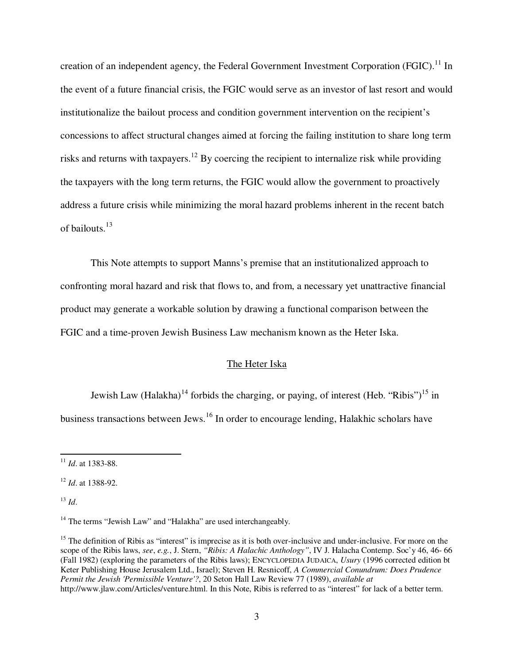creation of an independent agency, the Federal Government Investment Corporation (FGIC).<sup>11</sup> In the event of a future financial crisis, the FGIC would serve as an investor of last resort and would institutionalize the bailout process and condition government intervention on the recipient's concessions to affect structural changes aimed at forcing the failing institution to share long term risks and returns with taxpayers.<sup>12</sup> By coercing the recipient to internalize risk while providing the taxpayers with the long term returns, the FGIC would allow the government to proactively address a future crisis while minimizing the moral hazard problems inherent in the recent batch of bailouts.<sup>13</sup>

This Note attempts to support Manns's premise that an institutionalized approach to confronting moral hazard and risk that flows to, and from, a necessary yet unattractive financial product may generate a workable solution by drawing a functional comparison between the FGIC and a time-proven Jewish Business Law mechanism known as the Heter Iska.

# The Heter Iska

Jewish Law (Halakha)<sup>14</sup> forbids the charging, or paying, of interest (Heb. "Ribis")<sup>15</sup> in business transactions between Jews.<sup>16</sup> In order to encourage lending, Halakhic scholars have

<sup>12</sup> *Id*. at 1388-92.

 $^{13}$  *Id.* 

l

<sup>11</sup> *Id*. at 1383-88.

<sup>&</sup>lt;sup>14</sup> The terms "Jewish Law" and "Halakha" are used interchangeably.

<sup>&</sup>lt;sup>15</sup> The definition of Ribis as "interest" is imprecise as it is both over-inclusive and under-inclusive. For more on the scope of the Ribis laws, *see*, *e.g.*, J. Stern, *"Ribis: A Halachic Anthology"*, IV J. Halacha Contemp. Soc'y 46, 46- 66 (Fall 1982) (exploring the parameters of the Ribis laws); ENCYCLOPEDIA JUDAICA, *Usury* (1996 corrected edition bt Keter Publishing House Jerusalem Ltd., Israel); Steven H. Resnicoff, *A Commercial Conundrum: Does Prudence Permit the Jewish 'Permissible Venture'?*, 20 Seton Hall Law Review 77 (1989), *available at*  http://www.jlaw.com/Articles/venture.html. In this Note, Ribis is referred to as "interest" for lack of a better term.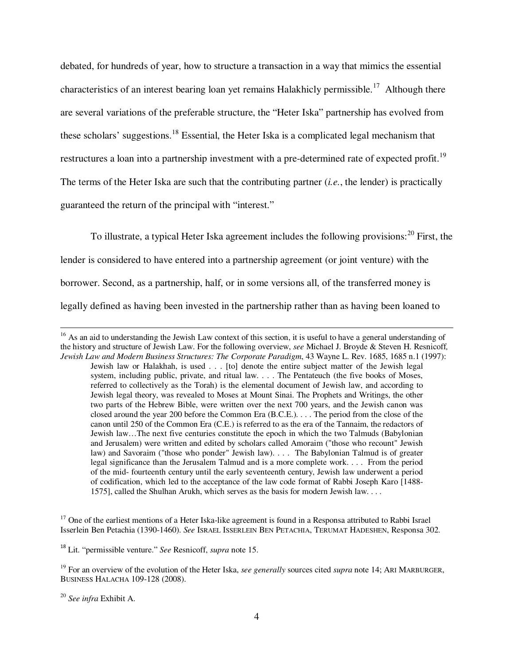debated, for hundreds of year, how to structure a transaction in a way that mimics the essential characteristics of an interest bearing loan yet remains Halakhicly permissible.<sup>17</sup> Although there are several variations of the preferable structure, the "Heter Iska" partnership has evolved from these scholars' suggestions.<sup>18</sup> Essential, the Heter Iska is a complicated legal mechanism that restructures a loan into a partnership investment with a pre-determined rate of expected profit.<sup>19</sup> The terms of the Heter Iska are such that the contributing partner (*i.e.*, the lender) is practically guaranteed the return of the principal with "interest."

To illustrate, a typical Heter Iska agreement includes the following provisions:  $^{20}$  First, the lender is considered to have entered into a partnership agreement (or joint venture) with the borrower. Second, as a partnership, half, or in some versions all, of the transferred money is legally defined as having been invested in the partnership rather than as having been loaned to

 $17$  One of the earliest mentions of a Heter Iska-like agreement is found in a Responsa attributed to Rabbi Israel Isserlein Ben Petachia (1390-1460). *See* ISRAEL ISSERLEIN BEN PETACHIA, TERUMAT HADESHEN, Responsa 302.

<sup>18</sup> Lit. "permissible venture." *See* Resnicoff, *supra* note 15.

<sup>19</sup> For an overview of the evolution of the Heter Iska, *see generally* sources cited *supra* note 14; ARI MARBURGER, BUSINESS HALACHA 109-128 (2008).

<sup>20</sup> *See infra* Exhibit A.

 $16$  As an aid to understanding the Jewish Law context of this section, it is useful to have a general understanding of the history and structure of Jewish Law. For the following overview, *see* Michael J. Broyde & Steven H. Resnicoff*, Jewish Law and Modern Business Structures: The Corporate Paradigm*, 43 Wayne L. Rev. 1685, 1685 n.1 (1997): Jewish law or Halakhah, is used . . . [to] denote the entire subject matter of the Jewish legal system, including public, private, and ritual law. . . . The Pentateuch (the five books of Moses, referred to collectively as the Torah) is the elemental document of Jewish law, and according to Jewish legal theory, was revealed to Moses at Mount Sinai. The Prophets and Writings, the other two parts of the Hebrew Bible, were written over the next 700 years, and the Jewish canon was closed around the year 200 before the Common Era (B.C.E.). . . . The period from the close of the canon until 250 of the Common Era (C.E.) is referred to as the era of the Tannaim, the redactors of Jewish law…The next five centuries constitute the epoch in which the two Talmuds (Babylonian and Jerusalem) were written and edited by scholars called Amoraim ("those who recount" Jewish law) and Savoraim ("those who ponder" Jewish law). . . . The Babylonian Talmud is of greater legal significance than the Jerusalem Talmud and is a more complete work. . . . From the period of the mid- fourteenth century until the early seventeenth century, Jewish law underwent a period of codification, which led to the acceptance of the law code format of Rabbi Joseph Karo [1488- 1575], called the Shulhan Arukh, which serves as the basis for modern Jewish law. . . .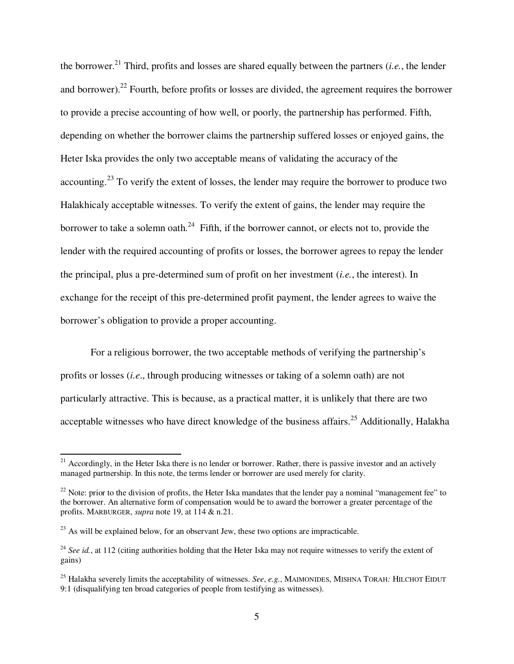the borrower.<sup>21</sup> Third, profits and losses are shared equally between the partners (*i.e.*, the lender and borrower).<sup>22</sup> Fourth, before profits or losses are divided, the agreement requires the borrower to provide a precise accounting of how well, or poorly, the partnership has performed. Fifth, depending on whether the borrower claims the partnership suffered losses or enjoyed gains, the Heter Iska provides the only two acceptable means of validating the accuracy of the accounting.<sup>23</sup> To verify the extent of losses, the lender may require the borrower to produce two Halakhicaly acceptable witnesses. To verify the extent of gains, the lender may require the borrower to take a solemn oath.<sup>24</sup> Fifth, if the borrower cannot, or elects not to, provide the lender with the required accounting of profits or losses, the borrower agrees to repay the lender the principal, plus a pre-determined sum of profit on her investment (*i.e.*, the interest). In exchange for the receipt of this pre-determined profit payment, the lender agrees to waive the borrower's obligation to provide a proper accounting.

For a religious borrower, the two acceptable methods of verifying the partnership's profits or losses (*i.e*., through producing witnesses or taking of a solemn oath) are not particularly attractive. This is because, as a practical matter, it is unlikely that there are two acceptable witnesses who have direct knowledge of the business affairs.<sup>25</sup> Additionally, Halakha

l

 $21$  Accordingly, in the Heter Iska there is no lender or borrower. Rather, there is passive investor and an actively managed partnership. In this note, the terms lender or borrower are used merely for clarity.

 $22$  Note: prior to the division of profits, the Heter Iska mandates that the lender pay a nominal "management fee" to the borrower. An alternative form of compensation would be to award the borrower a greater percentage of the profits. MARBURGER, *supra* note 19, at 114 & n.21.

 $^{23}$  As will be explained below, for an observant Jew, these two options are impracticable.

<sup>&</sup>lt;sup>24</sup> See id., at 112 (citing authorities holding that the Heter Iska may not require witnesses to verify the extent of gains)

<sup>25</sup> Halakha severely limits the acceptability of witnesses. *See*, *e.g.*, MAIMONIDES, MISHNA TORAH*:* HILCHOT EIDUT 9:1 (disqualifying ten broad categories of people from testifying as witnesses).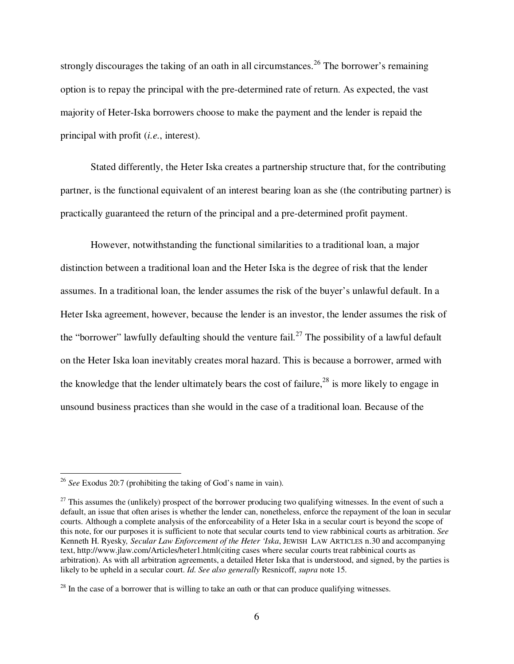strongly discourages the taking of an oath in all circumstances.<sup>26</sup> The borrower's remaining option is to repay the principal with the pre-determined rate of return. As expected, the vast majority of Heter-Iska borrowers choose to make the payment and the lender is repaid the principal with profit (*i.e.*, interest).

Stated differently, the Heter Iska creates a partnership structure that, for the contributing partner, is the functional equivalent of an interest bearing loan as she (the contributing partner) is practically guaranteed the return of the principal and a pre-determined profit payment.

However, notwithstanding the functional similarities to a traditional loan, a major distinction between a traditional loan and the Heter Iska is the degree of risk that the lender assumes. In a traditional loan, the lender assumes the risk of the buyer's unlawful default. In a Heter Iska agreement, however, because the lender is an investor, the lender assumes the risk of the "borrower" lawfully defaulting should the venture fail.<sup>27</sup> The possibility of a lawful default on the Heter Iska loan inevitably creates moral hazard. This is because a borrower, armed with the knowledge that the lender ultimately bears the cost of failure,  $28$  is more likely to engage in unsound business practices than she would in the case of a traditional loan. Because of the

<sup>26</sup> *See* Exodus 20:7 (prohibiting the taking of God's name in vain).

<sup>&</sup>lt;sup>27</sup> This assumes the (unlikely) prospect of the borrower producing two qualifying witnesses. In the event of such a default, an issue that often arises is whether the lender can, nonetheless, enforce the repayment of the loan in secular courts. Although a complete analysis of the enforceability of a Heter Iska in a secular court is beyond the scope of this note, for our purposes it is sufficient to note that secular courts tend to view rabbinical courts as arbitration. *See*  Kenneth H. Ryesky*, Secular Law Enforcement of the Heter 'Iska*, JEWISH LAW ARTICLES n.30 and accompanying text, http://www.jlaw.com/Articles/heter1.html(citing cases where secular courts treat rabbinical courts as arbitration). As with all arbitration agreements, a detailed Heter Iska that is understood, and signed, by the parties is likely to be upheld in a secular court. *Id*. *See also generally* Resnicoff, *supra* note 15.

 $^{28}$  In the case of a borrower that is willing to take an oath or that can produce qualifying witnesses.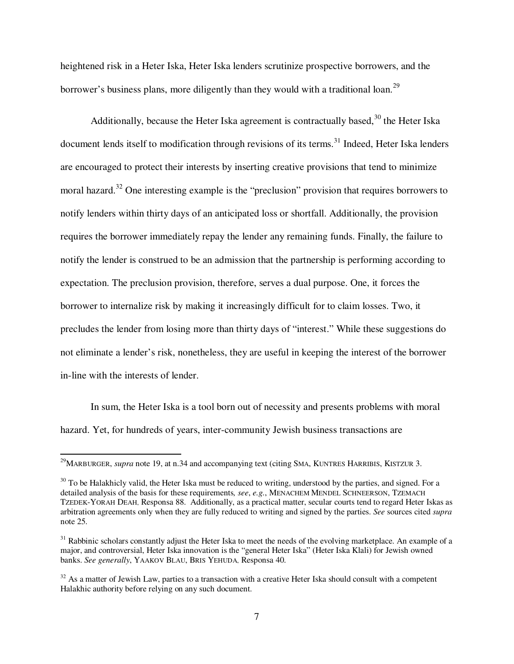heightened risk in a Heter Iska, Heter Iska lenders scrutinize prospective borrowers, and the borrower's business plans, more diligently than they would with a traditional loan.<sup>29</sup>

Additionally, because the Heter Iska agreement is contractually based,  $30$  the Heter Iska document lends itself to modification through revisions of its terms.<sup>31</sup> Indeed, Heter Iska lenders are encouraged to protect their interests by inserting creative provisions that tend to minimize moral hazard.<sup>32</sup> One interesting example is the "preclusion" provision that requires borrowers to notify lenders within thirty days of an anticipated loss or shortfall. Additionally, the provision requires the borrower immediately repay the lender any remaining funds. Finally, the failure to notify the lender is construed to be an admission that the partnership is performing according to expectation. The preclusion provision, therefore, serves a dual purpose. One, it forces the borrower to internalize risk by making it increasingly difficult for to claim losses. Two, it precludes the lender from losing more than thirty days of "interest." While these suggestions do not eliminate a lender's risk, nonetheless, they are useful in keeping the interest of the borrower in-line with the interests of lender.

In sum, the Heter Iska is a tool born out of necessity and presents problems with moral hazard. Yet, for hundreds of years, inter-community Jewish business transactions are

l

<sup>&</sup>lt;sup>29</sup>MARBURGER, *supra* note 19, at n.34 and accompanying text (citing SMA, KUNTRES HARRIBIS, KISTZUR 3.

 $30$  To be Halakhicly valid, the Heter Iska must be reduced to writing, understood by the parties, and signed. For a detailed analysis of the basis for these requirements*, see*, *e.g.*, MENACHEM MENDEL SCHNEERSON, TZEMACH TZEDEK-YORAH DEAH, Responsa 88. Additionally, as a practical matter, secular courts tend to regard Heter Iskas as arbitration agreements only when they are fully reduced to writing and signed by the parties. *See* sources cited *supra* note 25.

 $31$  Rabbinic scholars constantly adjust the Heter Iska to meet the needs of the evolving marketplace. An example of a major, and controversial, Heter Iska innovation is the "general Heter Iska" (Heter Iska Klali) for Jewish owned banks. *See generally*, YAAKOV BLAU, BRIS YEHUDA, Responsa 40.

 $32$  As a matter of Jewish Law, parties to a transaction with a creative Heter Iska should consult with a competent Halakhic authority before relying on any such document.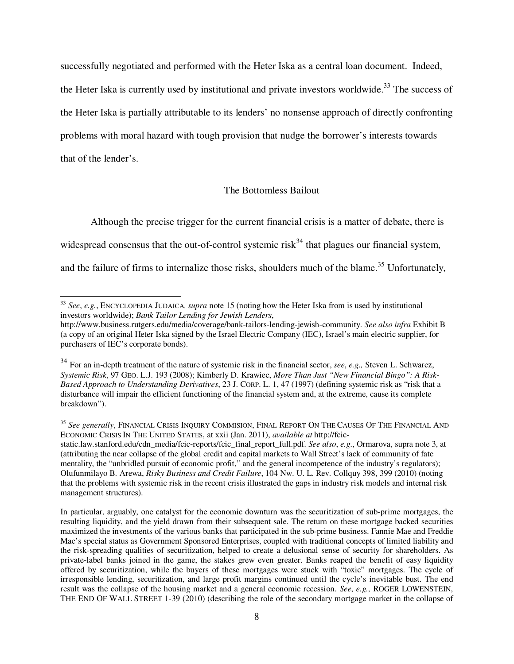successfully negotiated and performed with the Heter Iska as a central loan document. Indeed,

the Heter Iska is currently used by institutional and private investors worldwide.<sup>33</sup> The success of the Heter Iska is partially attributable to its lenders' no nonsense approach of directly confronting problems with moral hazard with tough provision that nudge the borrower's interests towards that of the lender's.

# The Bottomless Bailout

 Although the precise trigger for the current financial crisis is a matter of debate, there is widespread consensus that the out-of-control systemic risk<sup>34</sup> that plagues our financial system, and the failure of firms to internalize those risks, shoulders much of the blame.<sup>35</sup> Unfortunately,

<sup>33</sup> *See*, *e.g.*, ENCYCLOPEDIA JUDAICA, *supra* note 15 (noting how the Heter Iska from is used by institutional investors worldwide); *Bank Tailor Lending for Jewish Lenders*,

http://www.business.rutgers.edu/media/coverage/bank-tailors-lending-jewish-community. *See also infra* Exhibit B (a copy of an original Heter Iska signed by the Israel Electric Company (IEC), Israel's main electric supplier, for purchasers of IEC's corporate bonds).

<sup>34</sup> For an in-depth treatment of the nature of systemic risk in the financial sector, *see*, *e.g.,* Steven L. Schwarcz, *Systemic Risk*, 97 GEO. L.J. 193 (2008); Kimberly D. Krawiec, *More Than Just "New Financial Bingo": A Risk-Based Approach to Understanding Derivatives*, 23 J. CORP. L. 1, 47 (1997) (defining systemic risk as "risk that a disturbance will impair the efficient functioning of the financial system and, at the extreme, cause its complete breakdown").

<sup>35</sup> *See generally*, FINANCIAL CRISIS INQUIRY COMMISION, FINAL REPORT ON THE CAUSES OF THE FINANCIAL AND ECONOMIC CRISIS IN THE UNITED STATES, at xxii (Jan. 2011), *available at* http://fcicstatic.law.stanford.edu/cdn\_media/fcic-reports/fcic\_final\_report\_full.pdf. *See also*, *e.g.*, Ormarova, supra note 3, at (attributing the near collapse of the global credit and capital markets to Wall Street's lack of community of fate mentality, the "unbridled pursuit of economic profit," and the general incompetence of the industry's regulators); Olufunmilayo B. Arewa, *Risky Business and Credit Failure*, 104 Nw. U. L. Rev. Collquy 398, 399 (2010) (noting that the problems with systemic risk in the recent crisis illustrated the gaps in industry risk models and internal risk management structures).

In particular, arguably, one catalyst for the economic downturn was the securitization of sub-prime mortgages, the resulting liquidity, and the yield drawn from their subsequent sale. The return on these mortgage backed securities maximized the investments of the various banks that participated in the sub-prime business. Fannie Mae and Freddie Mac's special status as Government Sponsored Enterprises, coupled with traditional concepts of limited liability and the risk-spreading qualities of securitization, helped to create a delusional sense of security for shareholders. As private-label banks joined in the game, the stakes grew even greater. Banks reaped the benefit of easy liquidity offered by securitization, while the buyers of these mortgages were stuck with "toxic" mortgages. The cycle of irresponsible lending, securitization, and large profit margins continued until the cycle's inevitable bust. The end result was the collapse of the housing market and a general economic recession. *See*, *e.g.*, ROGER LOWENSTEIN, THE END OF WALL STREET 1-39 (2010) (describing the role of the secondary mortgage market in the collapse of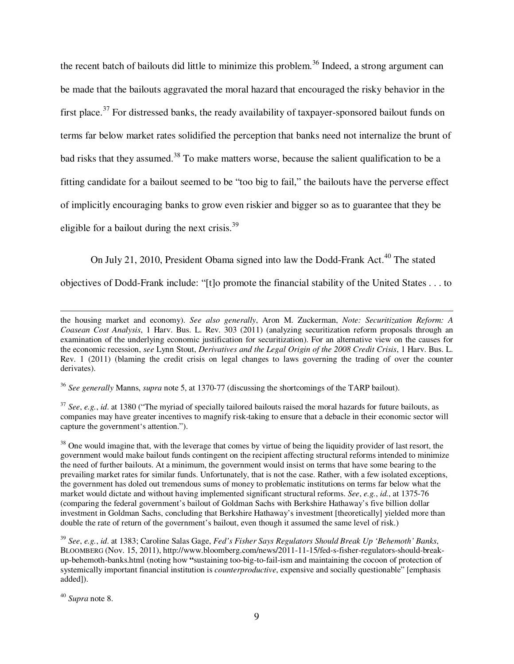the recent batch of bailouts did little to minimize this problem.<sup>36</sup> Indeed, a strong argument can be made that the bailouts aggravated the moral hazard that encouraged the risky behavior in the first place.<sup>37</sup> For distressed banks, the ready availability of taxpayer-sponsored bailout funds on terms far below market rates solidified the perception that banks need not internalize the brunt of bad risks that they assumed.<sup>38</sup> To make matters worse, because the salient qualification to be a fitting candidate for a bailout seemed to be "too big to fail," the bailouts have the perverse effect of implicitly encouraging banks to grow even riskier and bigger so as to guarantee that they be eligible for a bailout during the next crisis. $39$ 

On July 21, 2010, President Obama signed into law the Dodd-Frank Act.<sup>40</sup> The stated

objectives of Dodd-Frank include: "[t]o promote the financial stability of the United States . . . to

<sup>36</sup> *See generally* Manns, *supra* note 5, at 1370-77 (discussing the shortcomings of the TARP bailout).

<sup>37</sup> *See*, *e.g.*, *id*. at 1380 ("The myriad of specially tailored bailouts raised the moral hazards for future bailouts, as companies may have greater incentives to magnify risk-taking to ensure that a debacle in their economic sector will capture the government's attention.").

<sup>38</sup> One would imagine that, with the leverage that comes by virtue of being the liquidity provider of last resort, the government would make bailout funds contingent on the recipient affecting structural reforms intended to minimize the need of further bailouts. At a minimum, the government would insist on terms that have some bearing to the prevailing market rates for similar funds. Unfortunately, that is not the case. Rather, with a few isolated exceptions, the government has doled out tremendous sums of money to problematic institutions on terms far below what the market would dictate and without having implemented significant structural reforms. *See*, *e.g.*, *id.*, at 1375-76 (comparing the federal government's bailout of Goldman Sachs with Berkshire Hathaway's five billion dollar investment in Goldman Sachs, concluding that Berkshire Hathaway's investment [theoretically] yielded more than double the rate of return of the government's bailout, even though it assumed the same level of risk.)

<sup>39</sup> *See*, *e.g.*, *id*. at 1383; Caroline Salas Gage, *Fed's Fisher Says Regulators Should Break Up 'Behemoth' Banks*, BLOOMBERG (Nov. 15, 2011), http://www.bloomberg.com/news/2011-11-15/fed-s-fisher-regulators-should-breakup-behemoth-banks.html (noting how **"**sustaining too-big-to-fail-ism and maintaining the cocoon of protection of systemically important financial institution is *counterproductive*, expensive and socially questionable" [emphasis added]).

<sup>40</sup> *Supra* note 8.

the housing market and economy). *See also generally*, Aron M. Zuckerman, *Note: Securitization Reform: A Coasean Cost Analysis*, 1 Harv. Bus. L. Rev. 303 (2011) (analyzing securitization reform proposals through an examination of the underlying economic justification for securitization). For an alternative view on the causes for the economic recession, *see* Lynn Stout, *Derivatives and the Legal Origin of the 2008 Credit Crisis*, 1 Harv. Bus. L. Rev. 1 (2011) (blaming the credit crisis on legal changes to laws governing the trading of over the counter derivates).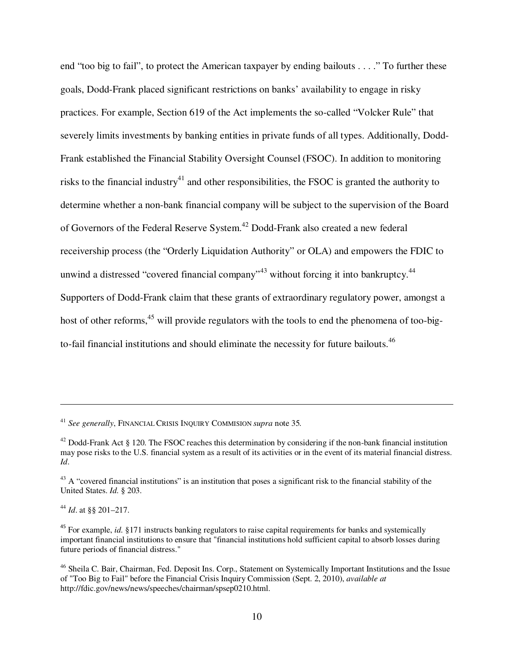end "too big to fail", to protect the American taxpayer by ending bailouts . . . ." To further these goals, Dodd-Frank placed significant restrictions on banks' availability to engage in risky practices. For example, Section 619 of the Act implements the so-called "Volcker Rule" that severely limits investments by banking entities in private funds of all types. Additionally, Dodd-Frank established the Financial Stability Oversight Counsel (FSOC). In addition to monitoring risks to the financial industry<sup>41</sup> and other responsibilities, the FSOC is granted the authority to determine whether a non-bank financial company will be subject to the supervision of the Board of Governors of the Federal Reserve System.<sup>42</sup> Dodd-Frank also created a new federal receivership process (the "Orderly Liquidation Authority" or OLA) and empowers the FDIC to unwind a distressed "covered financial company"<sup>43</sup> without forcing it into bankruptcy.<sup>44</sup> Supporters of Dodd-Frank claim that these grants of extraordinary regulatory power, amongst a host of other reforms,<sup>45</sup> will provide regulators with the tools to end the phenomena of too-bigto-fail financial institutions and should eliminate the necessity for future bailouts.<sup>46</sup>

<sup>44</sup> *Id*. at §§ 201–217.

<sup>41</sup> *See generally*, FINANCIAL CRISIS INQUIRY COMMISION *supra* note 35*.* 

<sup>&</sup>lt;sup>42</sup> Dodd-Frank Act § 120. The FSOC reaches this determination by considering if the non-bank financial institution may pose risks to the U.S. financial system as a result of its activities or in the event of its material financial distress. *Id*.

<sup>&</sup>lt;sup>43</sup> A "covered financial institutions" is an institution that poses a significant risk to the financial stability of the United States. *Id*. § 203.

<sup>&</sup>lt;sup>45</sup> For example, *id.* §171 instructs banking regulators to raise capital requirements for banks and systemically important financial institutions to ensure that "financial institutions hold sufficient capital to absorb losses during future periods of financial distress."

<sup>&</sup>lt;sup>46</sup> Sheila C. Bair, Chairman, Fed. Deposit Ins. Corp., Statement on Systemically Important Institutions and the Issue of "Too Big to Fail" before the Financial Crisis Inquiry Commission (Sept. 2, 2010), *available at* http://fdic.gov/news/news/speeches/chairman/spsep0210.html.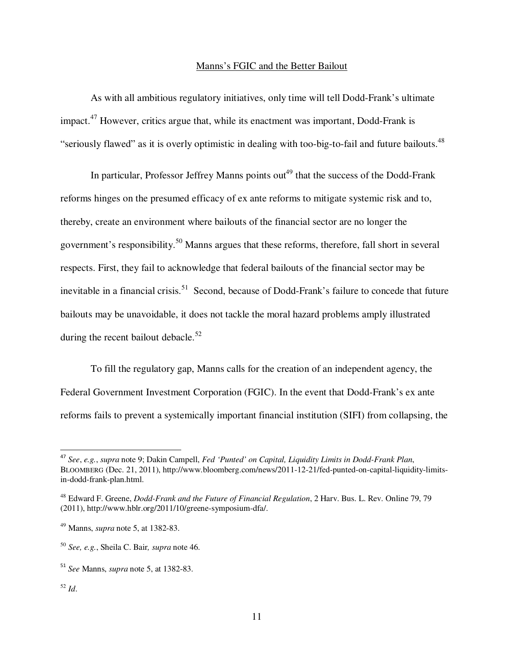#### Manns's FGIC and the Better Bailout

As with all ambitious regulatory initiatives, only time will tell Dodd-Frank's ultimate impact.<sup>47</sup> However, critics argue that, while its enactment was important, Dodd-Frank is "seriously flawed" as it is overly optimistic in dealing with too-big-to-fail and future bailouts.<sup>48</sup>

In particular, Professor Jeffrey Manns points out<sup>49</sup> that the success of the Dodd-Frank reforms hinges on the presumed efficacy of ex ante reforms to mitigate systemic risk and to, thereby, create an environment where bailouts of the financial sector are no longer the government's responsibility.<sup>50</sup> Manns argues that these reforms, therefore, fall short in several respects. First, they fail to acknowledge that federal bailouts of the financial sector may be inevitable in a financial crisis.<sup>51</sup> Second, because of Dodd-Frank's failure to concede that future bailouts may be unavoidable, it does not tackle the moral hazard problems amply illustrated during the recent bailout debacle.<sup>52</sup>

To fill the regulatory gap, Manns calls for the creation of an independent agency, the Federal Government Investment Corporation (FGIC). In the event that Dodd-Frank's ex ante reforms fails to prevent a systemically important financial institution (SIFI) from collapsing, the

<sup>47</sup> *See*, *e.g.*, *supra* note 9; Dakin Campell, *Fed 'Punted' on Capital, Liquidity Limits in Dodd-Frank Plan*, BLOOMBERG (Dec. 21, 2011), http://www.bloomberg.com/news/2011-12-21/fed-punted-on-capital-liquidity-limitsin-dodd-frank-plan.html.

<sup>48</sup> Edward F. Greene, *Dodd-Frank and the Future of Financial Regulation*, 2 Harv. Bus. L. Rev. Online 79, 79 (2011), http://www.hblr.org/2011/10/greene-symposium-dfa/.

<sup>49</sup> Manns, *supra* note 5, at 1382-83.

<sup>50</sup> *See, e.g.*, Sheila C. Bair*, supra* note 46.

<sup>51</sup> *See* Manns, *supra* note 5, at 1382-83.

<sup>52</sup> *Id*.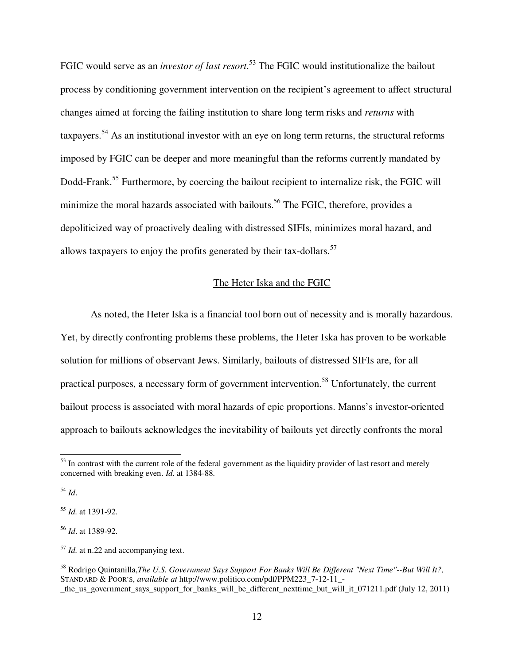FGIC would serve as an *investor of last resort*. <sup>53</sup> The FGIC would institutionalize the bailout process by conditioning government intervention on the recipient's agreement to affect structural changes aimed at forcing the failing institution to share long term risks and *returns* with taxpayers.<sup>54</sup> As an institutional investor with an eye on long term returns, the structural reforms imposed by FGIC can be deeper and more meaningful than the reforms currently mandated by Dodd-Frank.<sup>55</sup> Furthermore, by coercing the bailout recipient to internalize risk, the FGIC will minimize the moral hazards associated with bailouts.<sup>56</sup> The FGIC, therefore, provides a depoliticized way of proactively dealing with distressed SIFIs, minimizes moral hazard, and allows taxpayers to enjoy the profits generated by their tax-dollars.<sup>57</sup>

# The Heter Iska and the FGIC

As noted, the Heter Iska is a financial tool born out of necessity and is morally hazardous. Yet, by directly confronting problems these problems, the Heter Iska has proven to be workable solution for millions of observant Jews. Similarly, bailouts of distressed SIFIs are, for all practical purposes, a necessary form of government intervention.<sup>58</sup> Unfortunately, the current bailout process is associated with moral hazards of epic proportions. Manns's investor-oriented approach to bailouts acknowledges the inevitability of bailouts yet directly confronts the moral

<sup>54</sup> *Id*.

l

<sup>55</sup> *Id.* at 1391-92.

<sup>56</sup> *Id*. at 1389-92.

<sup>57</sup> *Id.* at n.22 and accompanying text.

 $53$  In contrast with the current role of the federal government as the liquidity provider of last resort and merely concerned with breaking even. *Id*. at 1384-88.

<sup>58</sup> Rodrigo Quintanilla,*The U.S. Government Says Support For Banks Will Be Different "Next Time"--But Will It?*, STANDARD & POOR'S, *available at* http://www.politico.com/pdf/PPM223\_7-12-11\_- \_the\_us\_government\_says\_support\_for\_banks\_will\_be\_different\_nexttime\_but\_will\_it\_071211.pdf (July 12, 2011)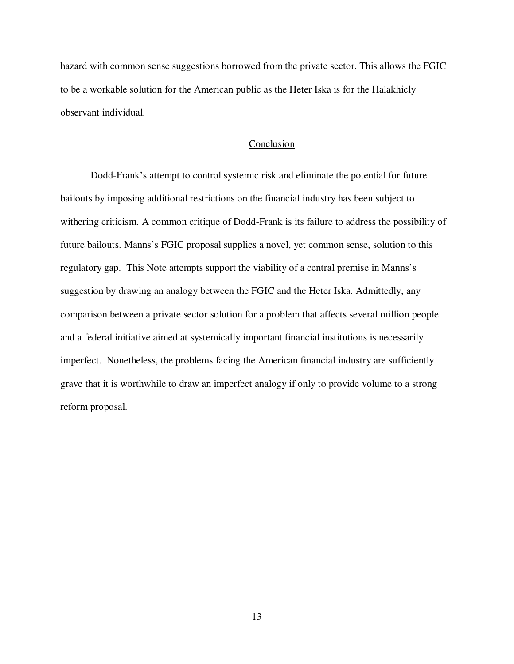hazard with common sense suggestions borrowed from the private sector. This allows the FGIC to be a workable solution for the American public as the Heter Iska is for the Halakhicly observant individual.

# Conclusion

Dodd-Frank's attempt to control systemic risk and eliminate the potential for future bailouts by imposing additional restrictions on the financial industry has been subject to withering criticism. A common critique of Dodd-Frank is its failure to address the possibility of future bailouts. Manns's FGIC proposal supplies a novel, yet common sense, solution to this regulatory gap. This Note attempts support the viability of a central premise in Manns's suggestion by drawing an analogy between the FGIC and the Heter Iska. Admittedly, any comparison between a private sector solution for a problem that affects several million people and a federal initiative aimed at systemically important financial institutions is necessarily imperfect. Nonetheless, the problems facing the American financial industry are sufficiently grave that it is worthwhile to draw an imperfect analogy if only to provide volume to a strong reform proposal.

13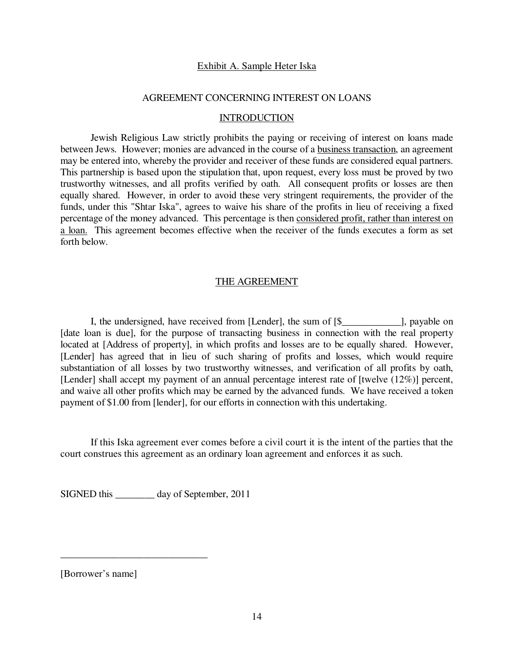# Exhibit A. Sample Heter Iska

#### AGREEMENT CONCERNING INTEREST ON LOANS

#### INTRODUCTION

 Jewish Religious Law strictly prohibits the paying or receiving of interest on loans made between Jews. However; monies are advanced in the course of a business transaction, an agreement may be entered into, whereby the provider and receiver of these funds are considered equal partners. This partnership is based upon the stipulation that, upon request, every loss must be proved by two trustworthy witnesses, and all profits verified by oath. All consequent profits or losses are then equally shared. However, in order to avoid these very stringent requirements, the provider of the funds, under this "Shtar Iska", agrees to waive his share of the profits in lieu of receiving a fixed percentage of the money advanced. This percentage is then considered profit, rather than interest on a loan. This agreement becomes effective when the receiver of the funds executes a form as set forth below.

# THE AGREEMENT

I, the undersigned, have received from [Lender], the sum of  $[\$$  [Sections 2], payable on [date loan is due], for the purpose of transacting business in connection with the real property located at [Address of property], in which profits and losses are to be equally shared. However, [Lender] has agreed that in lieu of such sharing of profits and losses, which would require substantiation of all losses by two trustworthy witnesses, and verification of all profits by oath, [Lender] shall accept my payment of an annual percentage interest rate of [twelve (12%)] percent, and waive all other profits which may be earned by the advanced funds. We have received a token payment of \$1.00 from [lender], for our efforts in connection with this undertaking.

 If this Iska agreement ever comes before a civil court it is the intent of the parties that the court construes this agreement as an ordinary loan agreement and enforces it as such.

SIGNED this \_\_\_\_\_\_\_\_ day of September, 2011

\_\_\_\_\_\_\_\_\_\_\_\_\_\_\_\_\_\_\_\_\_\_\_\_\_\_\_\_\_\_

[Borrower's name]